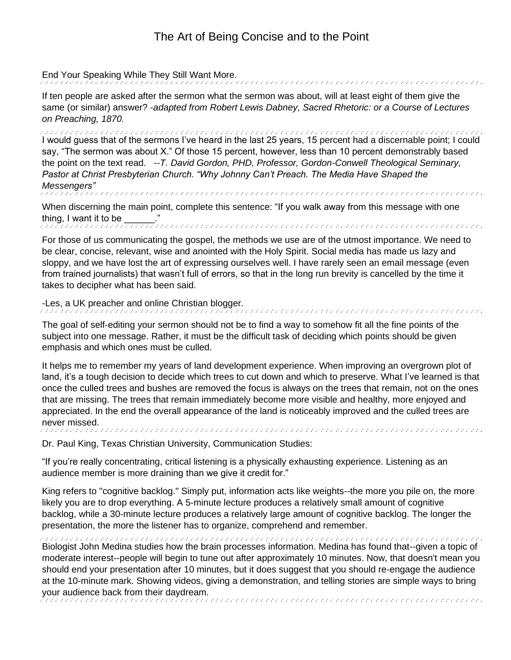End Your Speaking While They Still Want More.

If ten people are asked after the sermon what the sermon was about, will at least eight of them give the same (or similar) answer? -*adapted from Robert Lewis Dabney, Sacred Rhetoric: or a Course of Lectures on Preaching, 1870.*

I would guess that of the sermons I've heard in the last 25 years, 15 percent had a discernable point; I could say, "The sermon was about X." Of those 15 percent, however, less than 10 percent demonstrably based the point on the text read. *--T. David Gordon, PHD, Professor, [Gordon-Conwell Theological Seminary,](https://en.wikipedia.org/wiki/Gordon-Conwell_Theological_Seminary) Pastor at Christ Presbyterian Church. "Why Johnny Can't Preach. The Media Have Shaped the Messengers"* haana na haana haana haana haana haana haana haana haana haana haana haana haana haana haana haana haana haan

When discerning the main point, complete this sentence: "If you walk away from this message with one thing, I want it to be \_\_\_\_\_\_."<br>conditional conditional conditional conditional conditional conditional conditional conditional conditional co

For those of us communicating the gospel, the methods we use are of the utmost importance. We need to be clear, concise, relevant, wise and anointed with the Holy Spirit. Social media has made us lazy and sloppy, and we have lost the art of expressing ourselves well. I have rarely seen an email message (even from trained journalists) that wasn't full of errors, so that in the long run brevity is cancelled by the time it takes to decipher what has been said.

-Les, a UK preacher and online Christian blogger.

The goal of self-editing your sermon should not be to find a way to somehow fit all the fine points of the subject into one message. Rather, it must be the difficult task of deciding which points should be given emphasis and which ones must be culled.

It helps me to remember my years of land development experience. When improving an overgrown plot of land, it's a tough decision to decide which trees to cut down and which to preserve. What I've learned is that once the culled trees and bushes are removed the focus is always on the trees that remain, not on the ones that are missing. The trees that remain immediately become more visible and healthy, more enjoyed and appreciated. In the end the overall appearance of the land is noticeably improved and the culled trees are never missed. a de concerço de concerço de concerço de concerço de concerço de concerço de concerço de concerço de concerço

Dr. Paul King, Texas Christian University, Communication Studies:

"If you're really concentrating, critical listening is a physically exhausting experience. Listening as an audience member is more draining than we give it credit for."

King refers to "cognitive backlog." Simply put, information acts like weights--the more you pile on, the more likely you are to drop everything. A 5-minute lecture produces a relatively small amount of cognitive backlog, while a 30-minute lecture produces a relatively large amount of cognitive backlog. The longer the presentation, the more the listener has to organize, comprehend and remember.

Biologist John Medina studies how the brain processes information. Medina has found that--given a topic of moderate interest--people will begin to tune out after approximately 10 minutes. Now, that doesn't mean you should end your presentation after 10 minutes, but it does suggest that you should re-engage the audience at the 10-minute mark. Showing videos, giving a demonstration, and telling stories are simple ways to bring your audience back from their daydream.